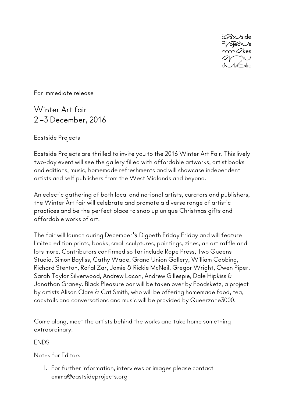

For immediate release

## Winter Art fair 2 –3 December, 2016

Eastside Projects

Eastside Projects are thrilled to invite you to the 2016 Winter Art Fair. This lively two-day event will see the gallery filled with affordable artworks, artist books and editions, music, homemade refreshments and will showcase independent artists and self publishers from the West Midlands and beyond.

An eclectic gathering of both local and national artists, curators and publishers, the Winter Art fair will celebrate and promote a diverse range of artistic practices and be the perfect place to snap up unique Christmas gifts and affordable works of art.

The fair will launch during December's Digbeth Friday Friday and will feature limited edition prints, books, small sculptures, paintings, zines, an art raffle and lots more. Contributors confirmed so far include Rope Press, Two Queens Studio, Simon Bayliss, Cathy Wade, Grand Union Gallery, William Cobbing, Richard Stenton, Rafal Zar, Jamie & Rickie McNeil, Gregor Wright, Owen Piper, Sarah Taylor Silverwood, Andrew Lacon, Andrew Gillespie, Dale Hipkiss & Jonathan Graney. Black Pleasure bar will be taken over by Foodsketz, a project by artists Alison Clare & Cat Smith, who will be offering homemade food, tea, cocktails and conversations and music will be provided by Queerzone3000.

Come along, meet the artists behind the works and take home something extraordinary.

## ENDS

Notes for Editors

1. For further information, interviews or images please contact emma@eastsideprojects.org